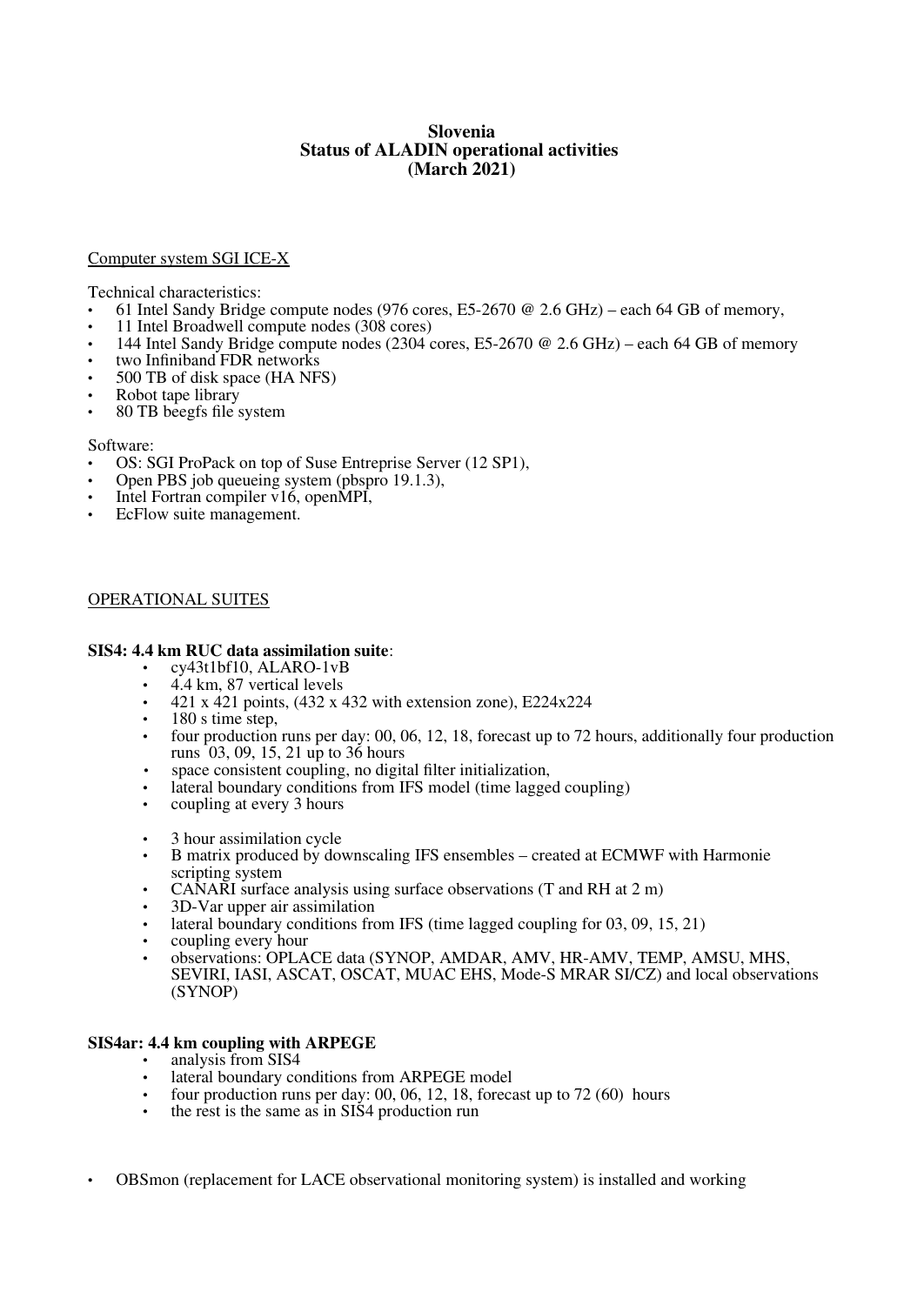# **Slovenia Status of ALADIN operational activities (March 2021)**

### Computer system SGI ICE-X

Technical characteristics:

- 61 Intel Sandy Bridge compute nodes (976 cores, E5-2670 @ 2.6 GHz) each 64 GB of memory,
- 11 Intel Broadwell compute nodes  $(308 \text{ cores})$ <br>• 144 Intel Sandy Bridge compute nodes  $(2304 \text{ cm})$
- 144 Intel Sandy Bridge compute nodes (2304 cores, E5-2670 @ 2.6 GHz) each 64 GB of memory
- two Infiniband FDR networks
- 500 TB of disk space (HA NFS)
- Robot tape library
- 80 TB beegfs file system

#### Software:

- OS: SGI ProPack on top of Suse Entreprise Server (12 SP1),
- Open PBS job queueing system (pbspro 19.1.3),
- Intel Fortran compiler v16, openMPI,
- EcFlow suite management.

### OPERATIONAL SUITES

### **SIS4: 4.4 km RUC data assimilation suite**:

- cy43t1bf10, ALARO-1vB
- 4.4 km, 87 vertical levels
- 421 x 421 points, (432 x 432 with extension zone), E224x224
- 180 s time step,
- four production runs per day: 00, 06, 12, 18, forecast up to 72 hours, additionally four production runs 03, 09, 15, 21 up to 36 hours
- space consistent coupling, no digital filter initialization,
- lateral boundary conditions from IFS model (time lagged coupling)<br>• coupling at every 3 hours
- coupling at every 3 hours
- 3 hour assimilation cycle
- B matrix produced by downscaling IFS ensembles created at ECMWF with Harmonie scripting system
- CANARI surface analysis using surface observations (T and RH at 2 m)
- 3D-Var upper air assimilation
- lateral boundary conditions from IFS (time lagged coupling for 03, 09, 15, 21)
- coupling every hour
- observations: OPLACE data (SYNOP, AMDAR, AMV, HR-AMV, TEMP, AMSU, MHS, SEVIRI, IASI, ASCAT, OSCAT, MUAC EHS, Mode-S MRAR SI/CZ) and local observations (SYNOP)

## **SIS4ar: 4.4 km coupling with ARPEGE**

- analysis from SIS4
- lateral boundary conditions from ARPEGE model
- four production runs per day: 00, 06, 12, 18, forecast up to 72 (60) hours
- the rest is the same as in SIS4 production run
- OBSmon (replacement for LACE observational monitoring system) is installed and working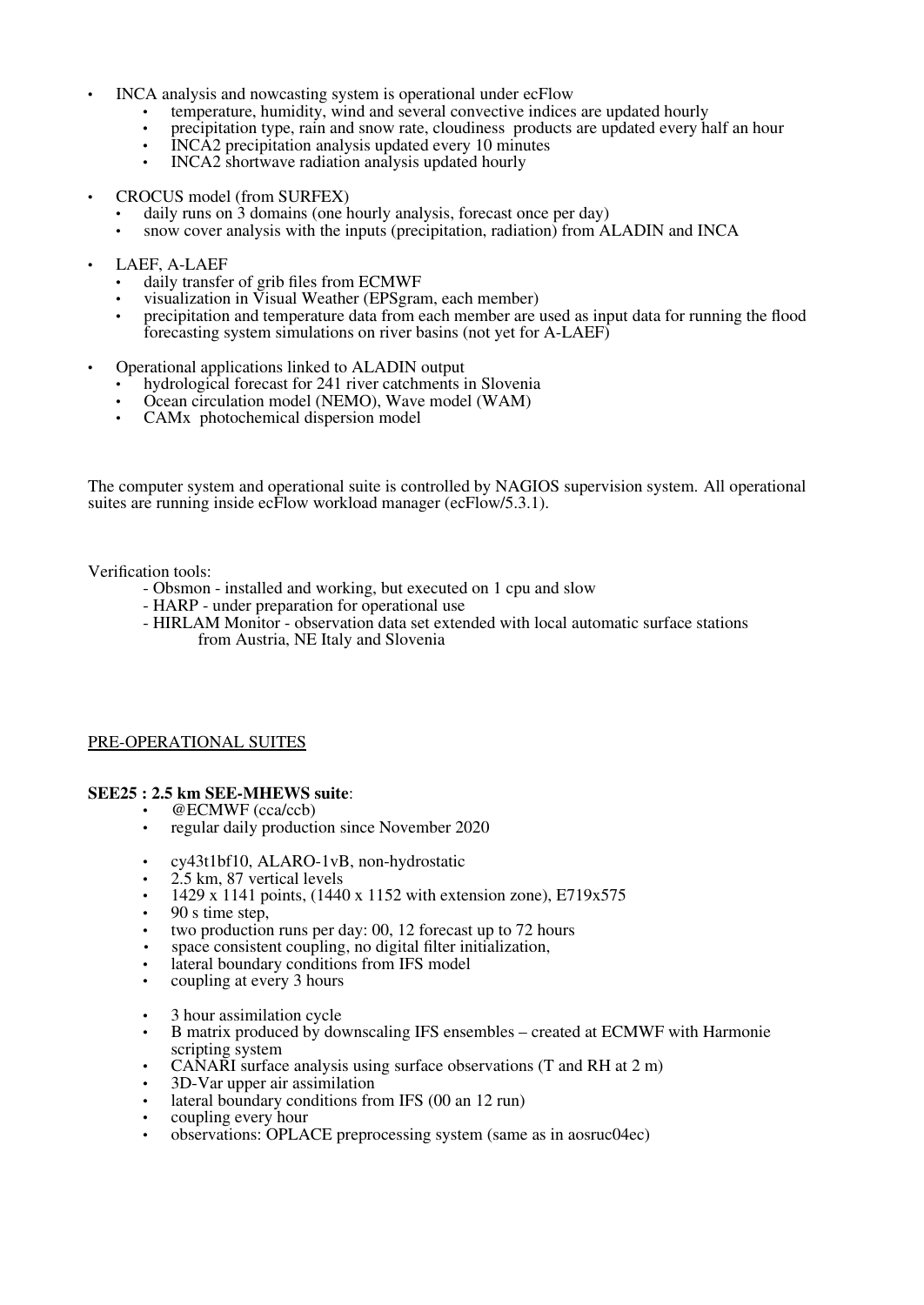- INCA analysis and nowcasting system is operational under ecFlow
	- temperature, humidity, wind and several convective indices are updated hourly
	- precipitation type, rain and snow rate, cloudiness products are updated every half an hour
	- INCA2 precipitation analysis updated every 10 minutes
	- INCA2 shortwave radiation analysis updated hourly
- CROCUS model (from SURFEX)
	- daily runs on 3 domains (one hourly analysis, forecast once per day)
	- snow cover analysis with the inputs (precipitation, radiation) from ALADIN and INCA
- LAEF, A-LAEF
	- daily transfer of grib files from ECMWF
	- visualization in Visual Weather (EPSgram, each member)
	- precipitation and temperature data from each member are used as input data for running the flood forecasting system simulations on river basins (not yet for A-LAEF)
- Operational applications linked to ALADIN output
	- hydrological forecast for 241 river catchments in Slovenia
	- Ocean circulation model (NEMO), Wave model (WAM)
	- CAMx photochemical dispersion model

The computer system and operational suite is controlled by NAGIOS supervision system. All operational suites are running inside ecFlow workload manager (ecFlow/5.3.1).

Verification tools:

- Obsmon installed and working, but executed on 1 cpu and slow
- HARP under preparation for operational use
- HIRLAM Monitor observation data set extended with local automatic surface stations from Austria, NE Italy and Slovenia

## PRE-OPERATIONAL SUITES

#### **SEE25 : 2.5 km SEE-MHEWS suite**:

- @ECMWF (cca/ccb)
- regular daily production since November 2020
- cy43t1bf10, ALARO-1vB, non-hydrostatic
- 2.5 km, 87 vertical levels
- 1429 x 1141 points, (1440 x 1152 with extension zone), E719x575
- 90 s time step,
- two production runs per day: 00, 12 forecast up to 72 hours
- space consistent coupling, no digital filter initialization,
- lateral boundary conditions from IFS model
- coupling at every 3 hours
- 3 hour assimilation cycle
- B matrix produced by downscaling IFS ensembles created at ECMWF with Harmonie scripting system
- CANARI surface analysis using surface observations (T and RH at 2 m)
- 3D-Var upper air assimilation
- lateral boundary conditions from IFS (00 an 12 run)
- coupling every hour
- observations: OPLACE preprocessing system (same as in aosruc04ec)